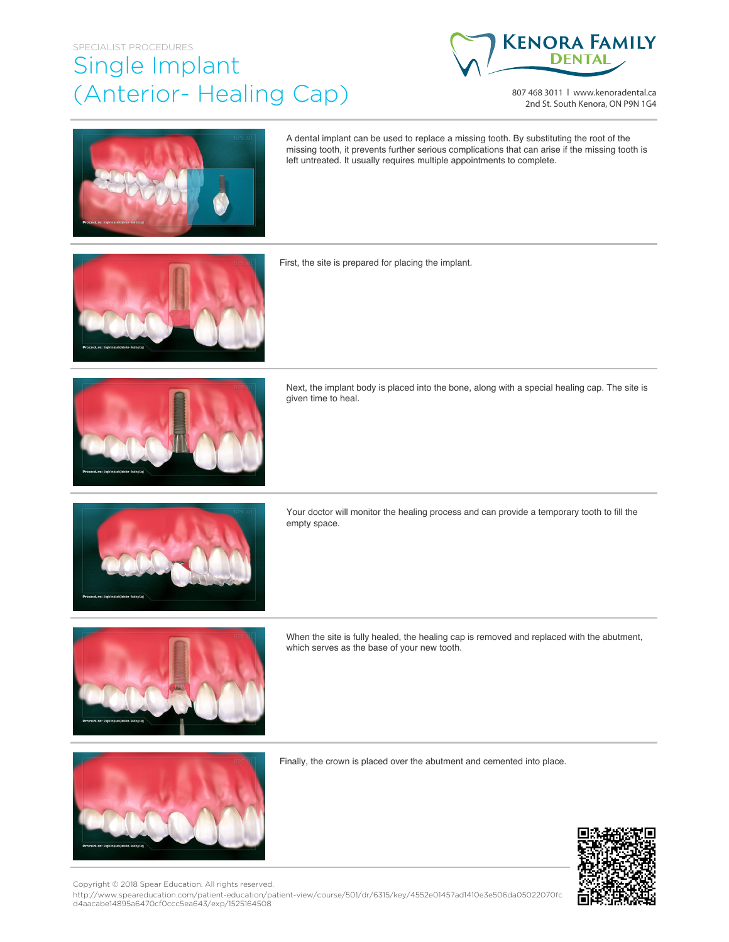## SPECIALIST PROCEDURES Single Implant (Anterior- Healing Cap)



807 468 3011 | www.kenoradental.ca 2nd St. South Kenora, ON P9N 1G4



A dental implant can be used to replace a missing tooth. By substituting the root of the missing tooth, it prevents further serious complications that can arise if the missing tooth is left untreated. It usually requires multiple appointments to complete.



First, the site is prepared for placing the implant.



Next, the implant body is placed into the bone, along with a special healing cap. The site is given time to heal.



Your doctor will monitor the healing process and can provide a temporary tooth to fill the empty space.



When the site is fully healed, the healing cap is removed and replaced with the abutment, which serves as the base of your new tooth.



Finally, the crown is placed over the abutment and cemented into place.



Copyright © 2018 Spear Education. All rights reserved.

http://www.speareducation.com/patient-education/patient-view/course/501/dr/6315/key/4552e01457ad1410e3e506da05022070fc d4aacabe14895a6470cf0ccc5ea643/exp/1525164508